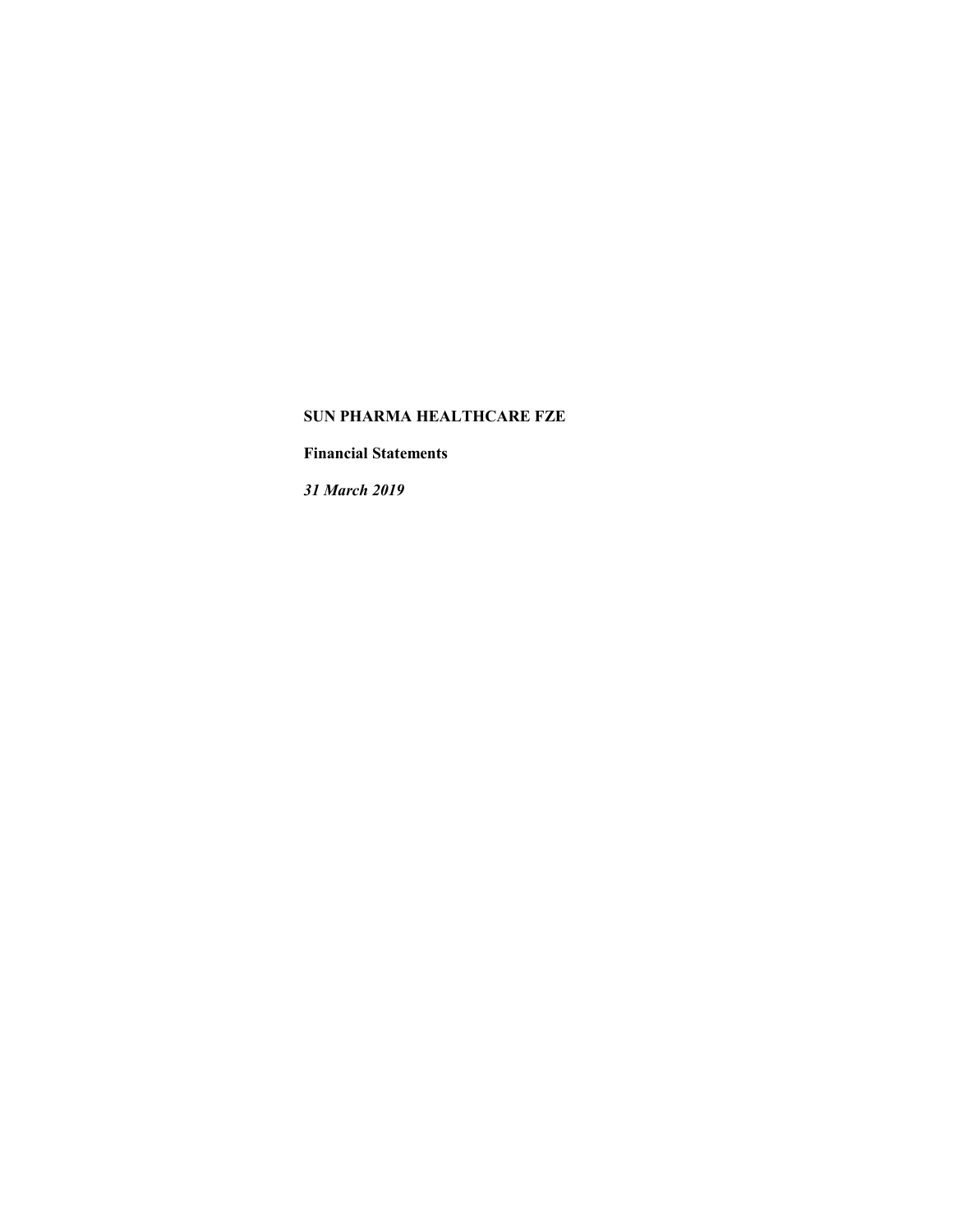**Financial Statements** 

*31 March 2019*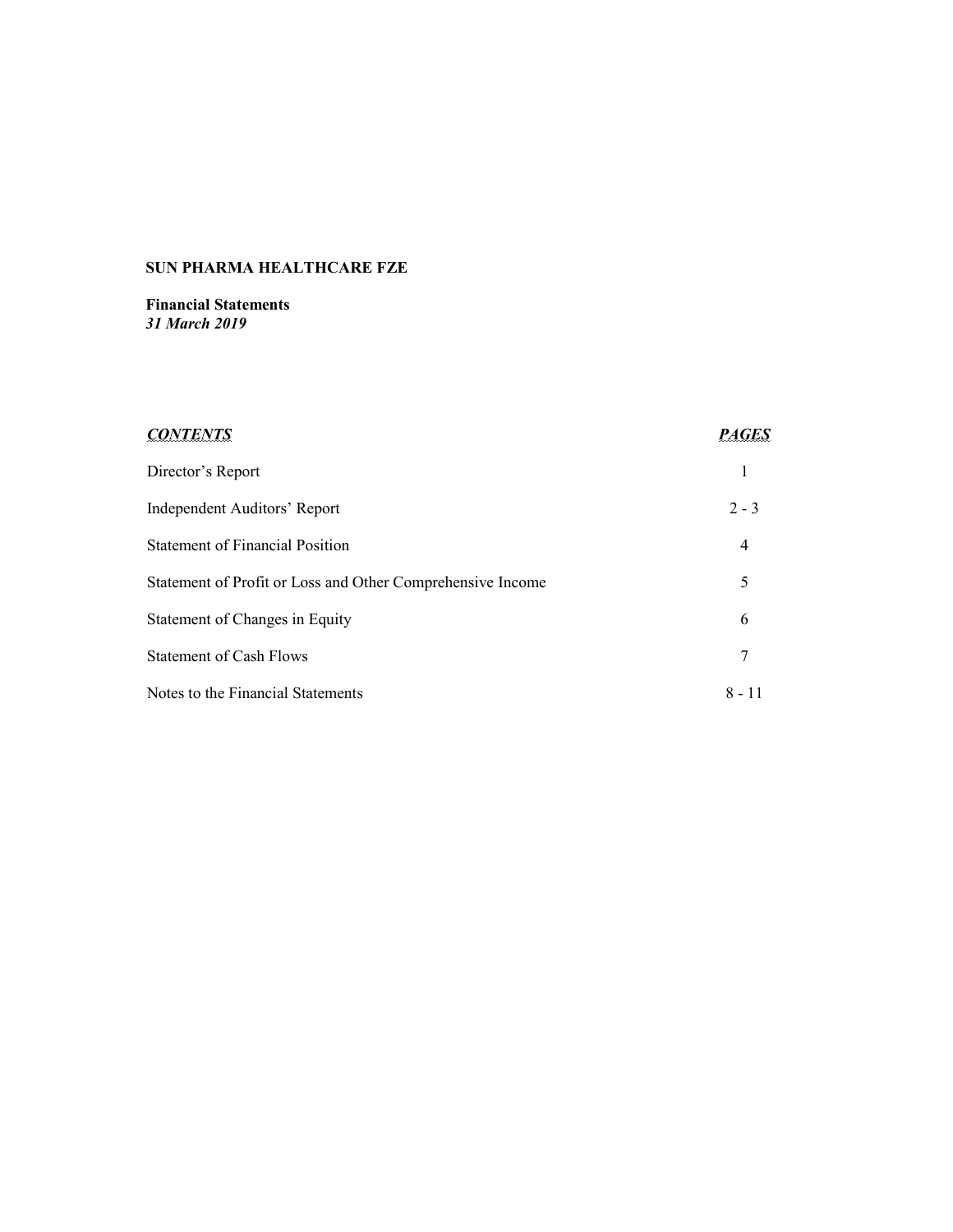**Financial Statements**  *31 March 2019* 

| <b>CONTENTS</b>                                            | <b>PAGES</b> |
|------------------------------------------------------------|--------------|
| Director's Report                                          |              |
| Independent Auditors' Report                               | $2 - 3$      |
| <b>Statement of Financial Position</b>                     | 4            |
| Statement of Profit or Loss and Other Comprehensive Income | 5            |
| Statement of Changes in Equity                             | 6            |
| <b>Statement of Cash Flows</b>                             | 7            |
| Notes to the Financial Statements                          | $8 - 11$     |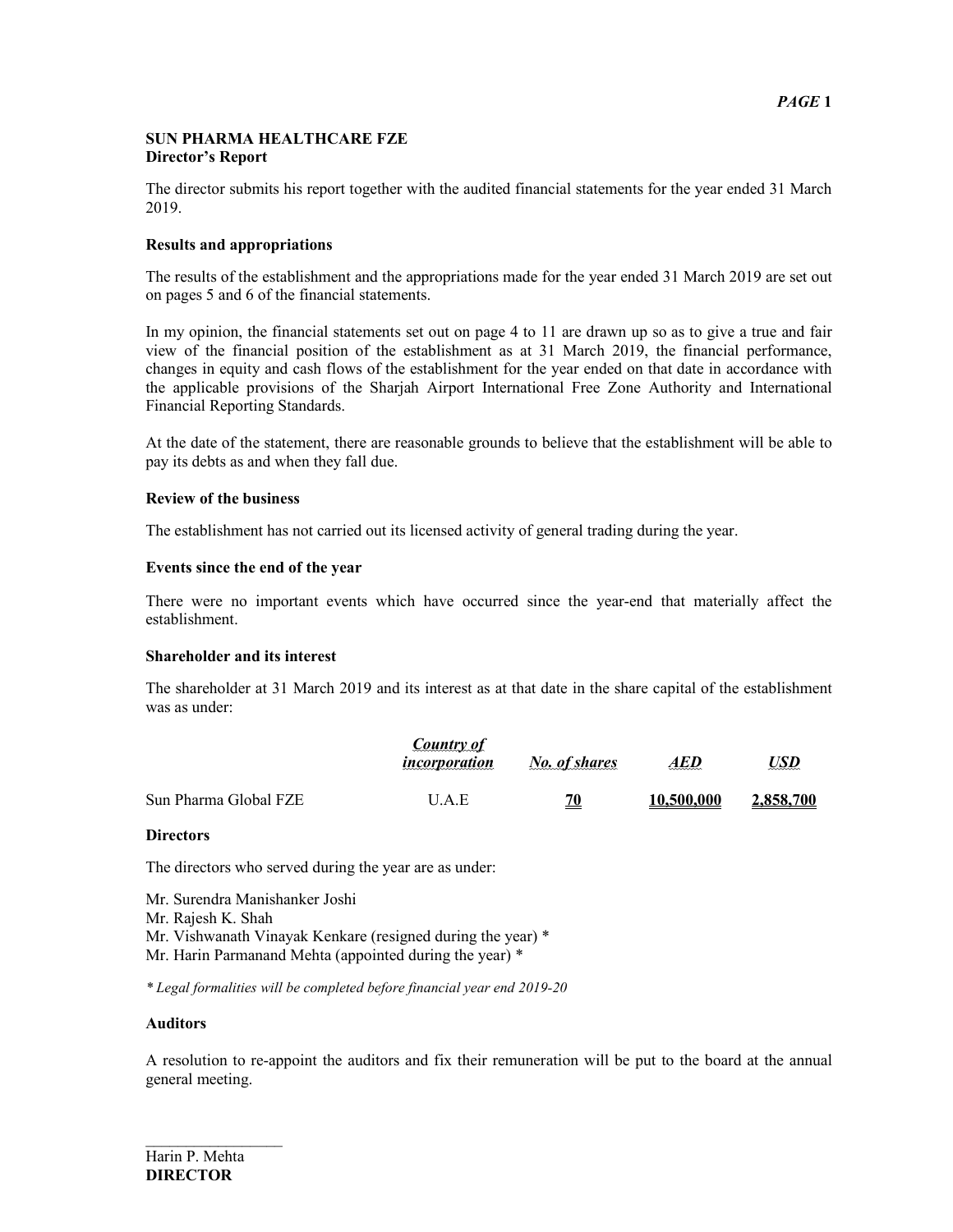### **SUN PHARMA HEALTHCARE FZE Director's Report**

The director submits his report together with the audited financial statements for the year ended 31 March 2019.

## **Results and appropriations**

The results of the establishment and the appropriations made for the year ended 31 March 2019 are set out on pages 5 and 6 of the financial statements.

In my opinion, the financial statements set out on page 4 to 11 are drawn up so as to give a true and fair view of the financial position of the establishment as at 31 March 2019, the financial performance, changes in equity and cash flows of the establishment for the year ended on that date in accordance with the applicable provisions of the Sharjah Airport International Free Zone Authority and International Financial Reporting Standards.

At the date of the statement, there are reasonable grounds to believe that the establishment will be able to pay its debts as and when they fall due.

#### **Review of the business**

The establishment has not carried out its licensed activity of general trading during the year.

#### **Events since the end of the year**

There were no important events which have occurred since the year-end that materially affect the establishment.

#### **Shareholder and its interest**

The shareholder at 31 March 2019 and its interest as at that date in the share capital of the establishment was as under:

|                       | Country of<br><i>incorporation</i> | No. of shares | AED        | <u>USD</u> |
|-----------------------|------------------------------------|---------------|------------|------------|
| Sun Pharma Global FZE | U.A.E                              | <u>70</u>     | 10.500.000 | 2,858,700  |

#### **Directors**

The directors who served during the year are as under:

Mr. Surendra Manishanker Joshi Mr. Rajesh K. Shah Mr. Vishwanath Vinayak Kenkare (resigned during the year) \* Mr. Harin Parmanand Mehta (appointed during the year) \*

*\* Legal formalities will be completed before financial year end 2019-20*

#### **Auditors**

A resolution to re-appoint the auditors and fix their remuneration will be put to the board at the annual general meeting.

 $\frac{1}{2}$  ,  $\frac{1}{2}$  ,  $\frac{1}{2}$  ,  $\frac{1}{2}$  ,  $\frac{1}{2}$  ,  $\frac{1}{2}$  ,  $\frac{1}{2}$  ,  $\frac{1}{2}$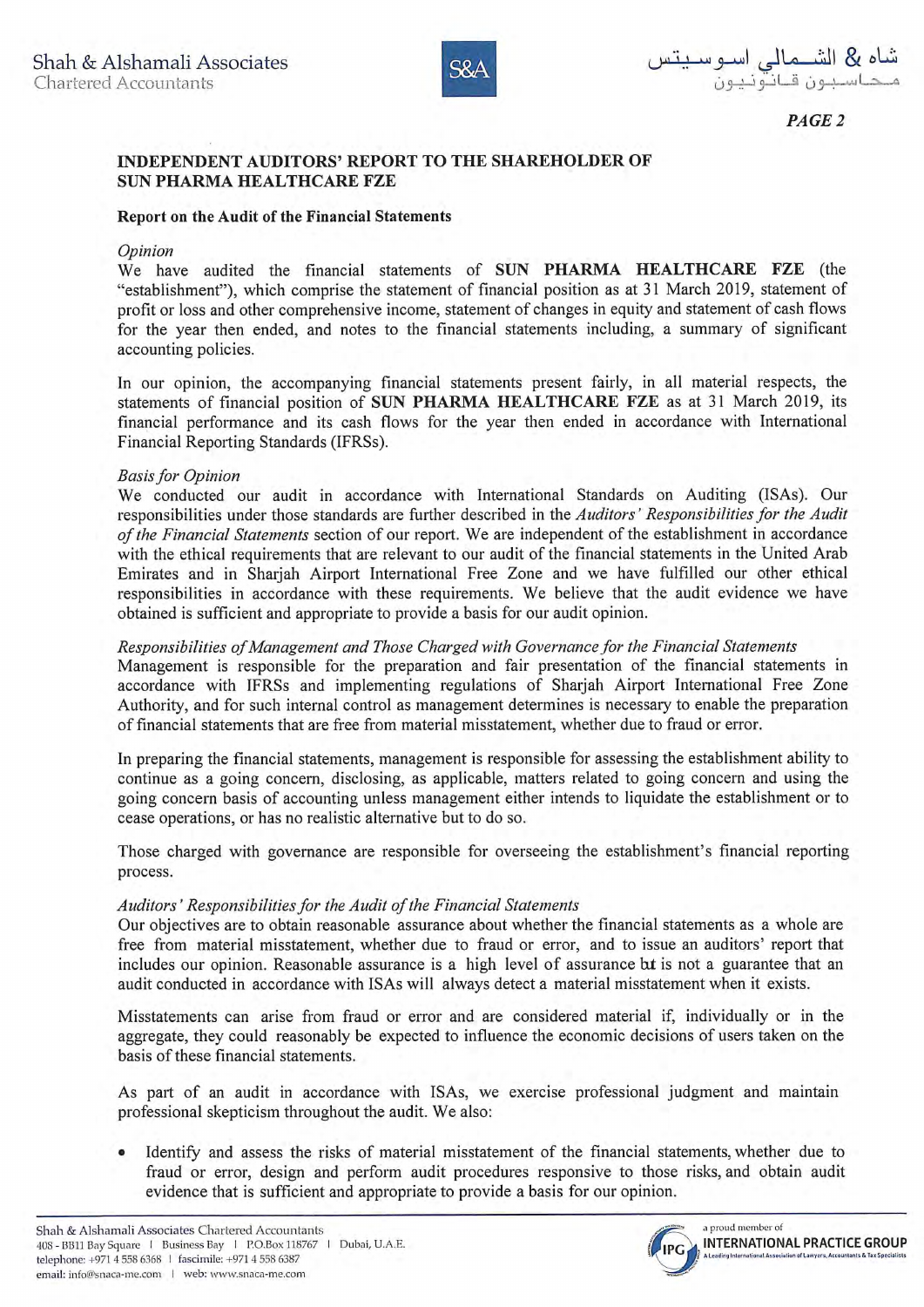

 $PAGE$  2

# INDEPENDENT AUDITORS' REPORT TO THE SHAREHOLDER OF **SUN PHARMA HEALTHCARE FZE**

## Report on the Audit of the Financial Statements

## Opinion

We have audited the financial statements of SUN PHARMA HEALTHCARE FZE (the "establishment"), which comprise the statement of financial position as at 31 March 2019, statement of profit or loss and other comprehensive income, statement of changes in equity and statement of cash flows for the year then ended, and notes to the financial statements including, a summary of significant accounting policies.

In our opinion, the accompanying financial statements present fairly, in all material respects, the statements of financial position of SUN PHARMA HEALTHCARE FZE as at 31 March 2019, its financial performance and its cash flows for the year then ended in accordance with International Financial Reporting Standards (IFRSs).

## **Basis for Opinion**

We conducted our audit in accordance with International Standards on Auditing (ISAs). Our responsibilities under those standards are further described in the Auditors' Responsibilities for the Audit of the Financial Statements section of our report. We are independent of the establishment in accordance with the ethical requirements that are relevant to our audit of the financial statements in the United Arab Emirates and in Sharjah Airport International Free Zone and we have fulfilled our other ethical responsibilities in accordance with these requirements. We believe that the audit evidence we have obtained is sufficient and appropriate to provide a basis for our audit opinion.

# Responsibilities of Management and Those Charged with Governance for the Financial Statements

Management is responsible for the preparation and fair presentation of the financial statements in accordance with IFRSs and implementing regulations of Sharjah Airport International Free Zone Authority, and for such internal control as management determines is necessary to enable the preparation of financial statements that are free from material misstatement, whether due to fraud or error.

In preparing the financial statements, management is responsible for assessing the establishment ability to continue as a going concern, disclosing, as applicable, matters related to going concern and using the going concern basis of accounting unless management either intends to liquidate the establishment or to cease operations, or has no realistic alternative but to do so.

Those charged with governance are responsible for overseeing the establishment's financial reporting process.

## Auditors' Responsibilities for the Audit of the Financial Statements

Our objectives are to obtain reasonable assurance about whether the financial statements as a whole are free from material misstatement, whether due to fraud or error, and to issue an auditors' report that includes our opinion. Reasonable assurance is a high level of assurance but is not a guarantee that an audit conducted in accordance with ISAs will always detect a material misstatement when it exists.

Misstatements can arise from fraud or error and are considered material if, individually or in the aggregate, they could reasonably be expected to influence the economic decisions of users taken on the basis of these financial statements.

As part of an audit in accordance with ISAs, we exercise professional judgment and maintain professional skepticism throughout the audit. We also:

Identify and assess the risks of material misstatement of the financial statements, whether due to  $\bullet$ fraud or error, design and perform audit procedures responsive to those risks, and obtain audit evidence that is sufficient and appropriate to provide a basis for our opinion.

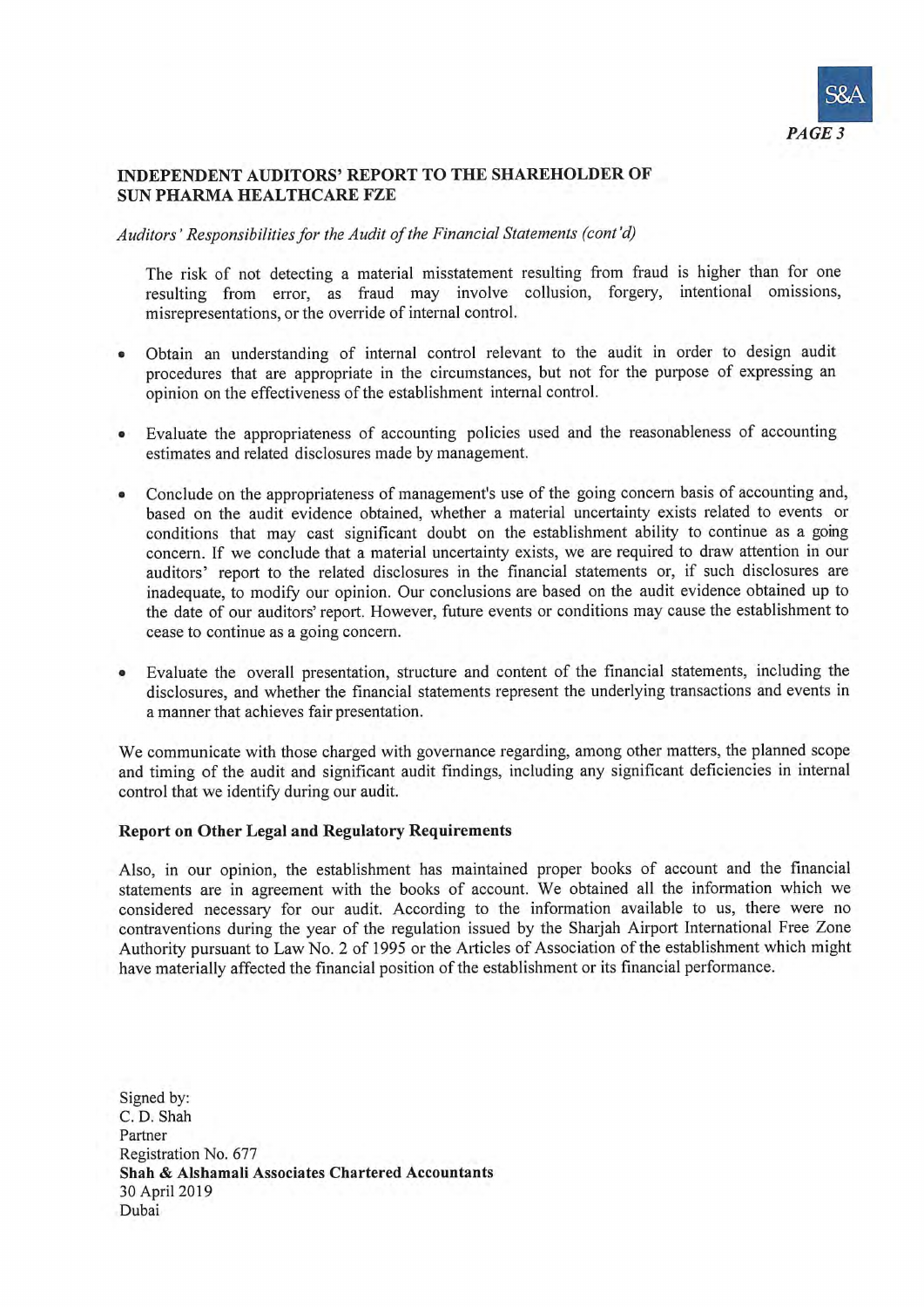

## **INDEPENDENT AUDITORS' REPORT TO THE SHAREHOLDER OF SUN PHARMA HEALTHCARE FZE**

## Auditors' Responsibilities for the Audit of the Financial Statements (cont'd)

The risk of not detecting a material misstatement resulting from fraud is higher than for one resulting from error, as fraud may involve collusion, forgery, intentional omissions. misrepresentations, or the override of internal control.

- Obtain an understanding of internal control relevant to the audit in order to design audit procedures that are appropriate in the circumstances, but not for the purpose of expressing an opinion on the effectiveness of the establishment internal control.
- Evaluate the appropriateness of accounting policies used and the reasonableness of accounting  $\bullet$ estimates and related disclosures made by management.
- Conclude on the appropriateness of management's use of the going concern basis of accounting and,  $\bullet$ based on the audit evidence obtained, whether a material uncertainty exists related to events or conditions that may cast significant doubt on the establishment ability to continue as a going concern. If we conclude that a material uncertainty exists, we are required to draw attention in our auditors' report to the related disclosures in the financial statements or, if such disclosures are inadequate, to modify our opinion. Our conclusions are based on the audit evidence obtained up to the date of our auditors' report. However, future events or conditions may cause the establishment to cease to continue as a going concern.
- Evaluate the overall presentation, structure and content of the financial statements, including the  $\bullet$ disclosures, and whether the financial statements represent the underlying transactions and events in a manner that achieves fair presentation.

We communicate with those charged with governance regarding, among other matters, the planned scope and timing of the audit and significant audit findings, including any significant deficiencies in internal control that we identify during our audit.

### **Report on Other Legal and Regulatory Requirements**

Also, in our opinion, the establishment has maintained proper books of account and the financial statements are in agreement with the books of account. We obtained all the information which we considered necessary for our audit. According to the information available to us, there were no contraventions during the year of the regulation issued by the Sharjah Airport International Free Zone Authority pursuant to Law No. 2 of 1995 or the Articles of Association of the establishment which might have materially affected the financial position of the establishment or its financial performance.

Signed by: C. D. Shah Partner Registration No. 677 Shah & Alshamali Associates Chartered Accountants 30 April 2019 Dubai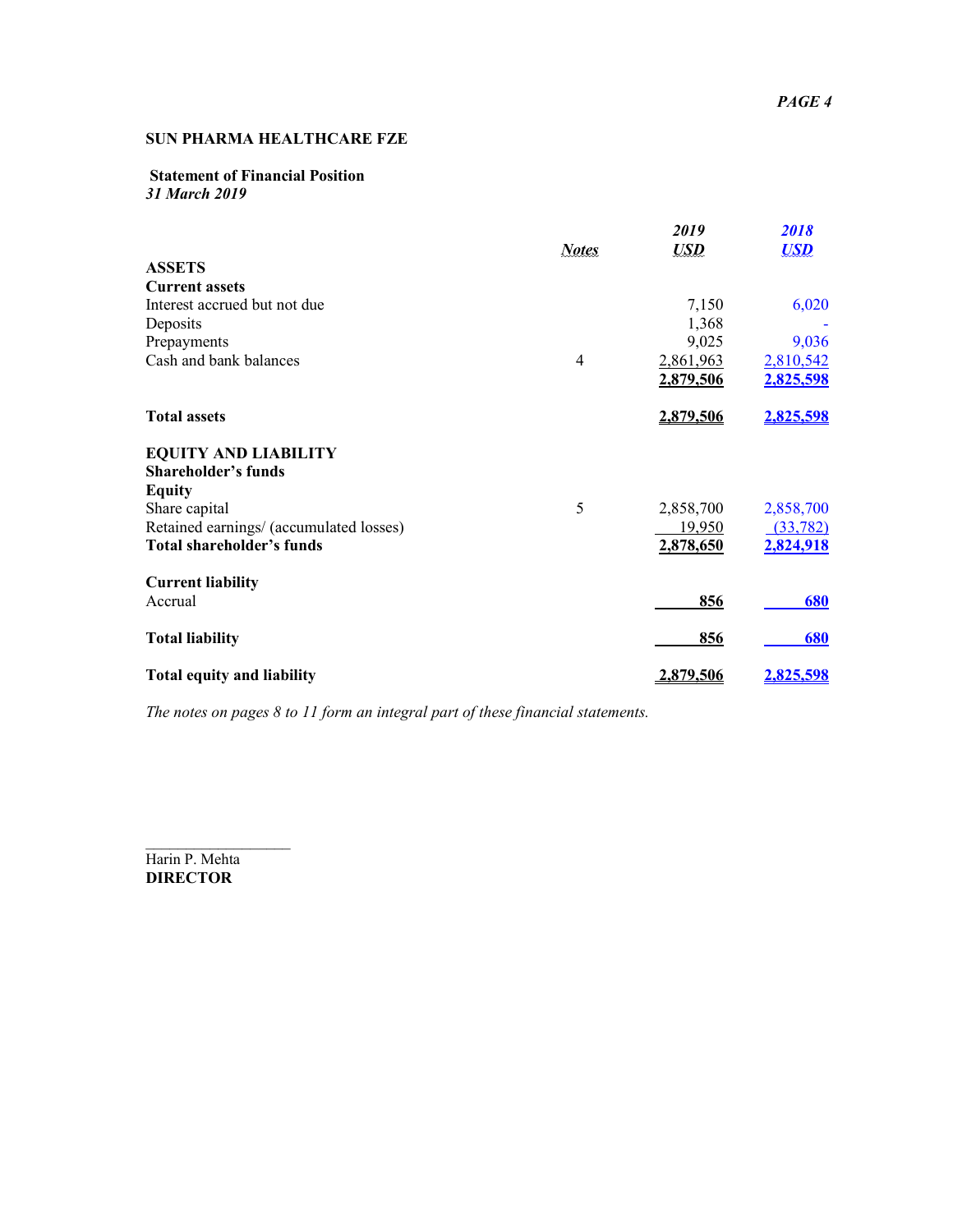## **Statement of Financial Position**  *31 March 2019*

|                                         | <b>Notes</b>   | 2019<br><b>USD</b> | 2018<br><b>USD</b> |
|-----------------------------------------|----------------|--------------------|--------------------|
| <b>ASSETS</b>                           |                |                    |                    |
| <b>Current assets</b>                   |                |                    |                    |
| Interest accrued but not due            |                | 7,150              | 6,020              |
| Deposits                                |                | 1,368              |                    |
| Prepayments                             |                | 9,025              | 9,036              |
| Cash and bank balances                  | $\overline{4}$ | 2,861,963          | 2,810,542          |
|                                         |                | 2,879,506          | 2,825,598          |
| <b>Total assets</b>                     |                | 2,879,506          | 2,825,598          |
| <b>EQUITY AND LIABILITY</b>             |                |                    |                    |
| <b>Shareholder's funds</b>              |                |                    |                    |
| <b>Equity</b>                           |                |                    |                    |
| Share capital                           | 5              | 2,858,700          | 2,858,700          |
| Retained earnings/ (accumulated losses) |                | 19,950             | (33, 782)          |
| <b>Total shareholder's funds</b>        |                | 2,878,650          | 2,824,918          |
| <b>Current liability</b>                |                |                    |                    |
| Accrual                                 |                | 856                | 680                |
| <b>Total liability</b>                  |                | 856                | 680                |
| <b>Total equity and liability</b>       |                | 2,879,506          | 2,825,598          |

*The notes on pages 8 to 11 form an integral part of these financial statements.* 

 $\overline{\phantom{a}}$ Harin P. Mehta **DIRECTOR**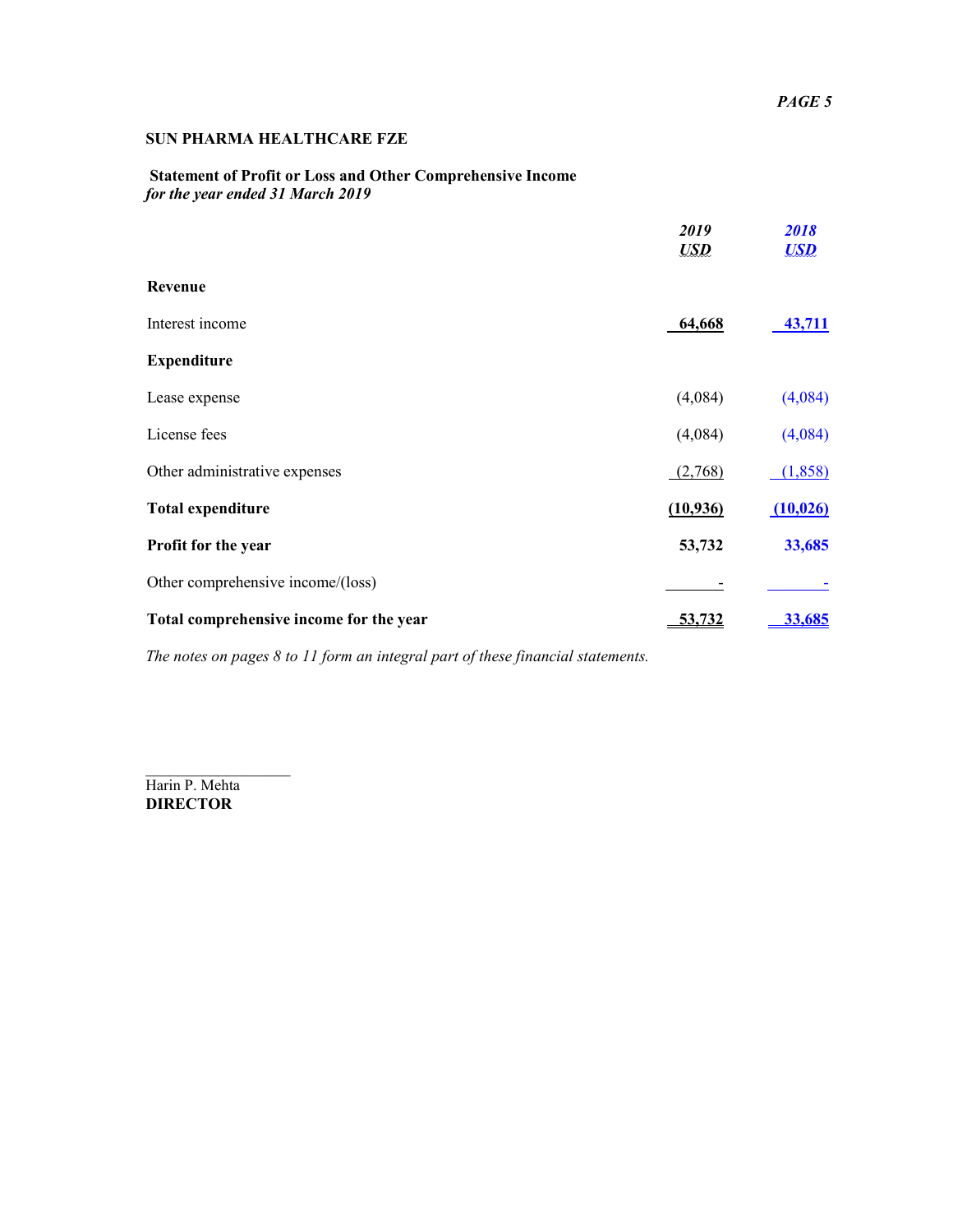# **Statement of Profit or Loss and Other Comprehensive Income**  *for the year ended 31 March 2019*

|                                         | 2019<br>$\mathbf{LSD}$ | 2018<br><b>USD</b> |
|-----------------------------------------|------------------------|--------------------|
| Revenue                                 |                        |                    |
| Interest income                         | 64,668                 | 43,711             |
| <b>Expenditure</b>                      |                        |                    |
| Lease expense                           | (4,084)                | (4,084)            |
| License fees                            | (4,084)                | (4,084)            |
| Other administrative expenses           | (2,768)                | (1,858)            |
| <b>Total expenditure</b>                | (10, 936)              | (10, 026)          |
| Profit for the year                     | 53,732                 | 33,685             |
| Other comprehensive income/(loss)       |                        |                    |
| Total comprehensive income for the year |                        | <u>33.685</u>      |

*The notes on pages 8 to 11 form an integral part of these financial statements.* 

Harin P. Mehta **DIRECTOR** 

 $\overline{\phantom{a}}$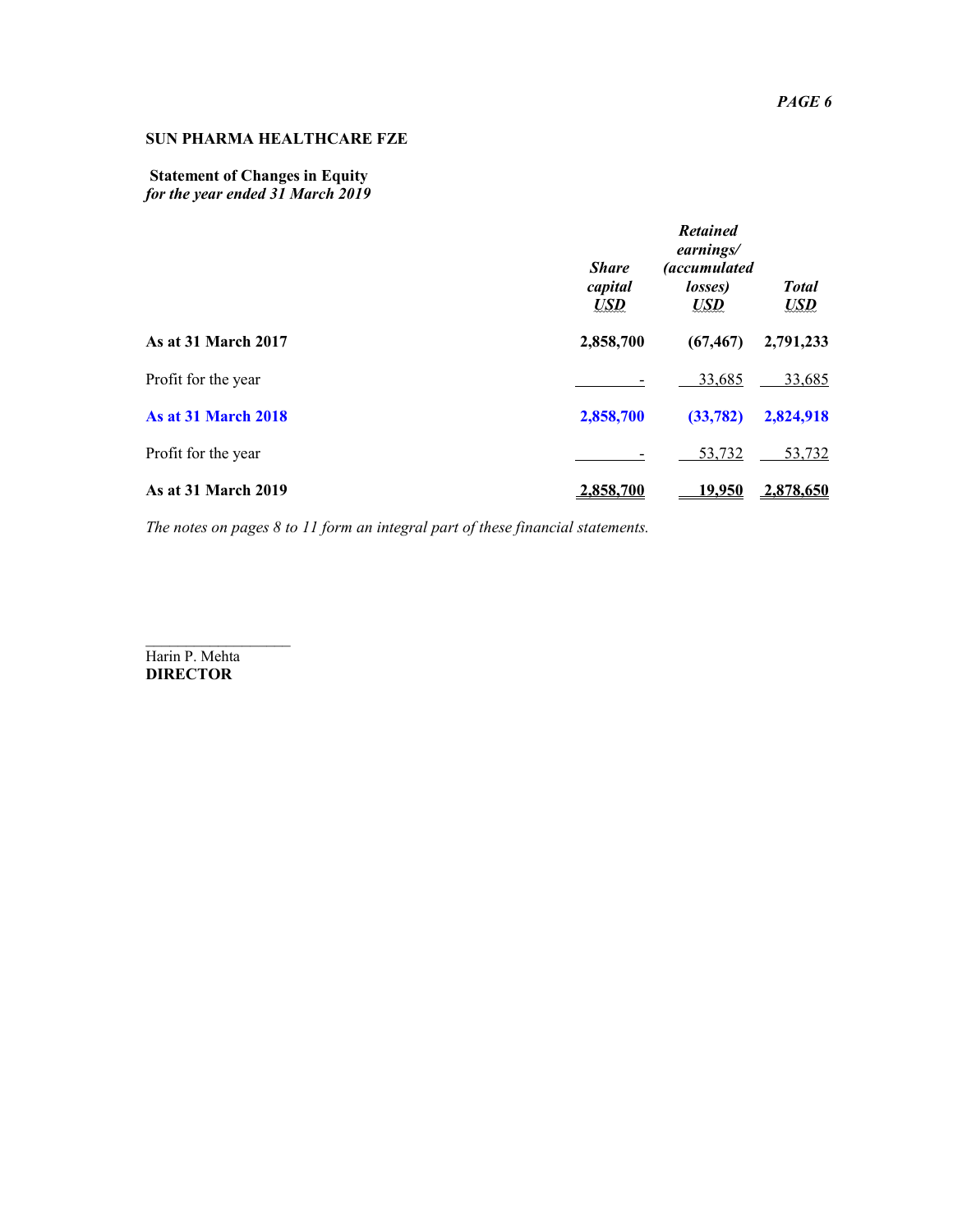## **Statement of Changes in Equity**  *for the year ended 31 March 2019*

|                            | <b>Share</b><br>capital<br><b>USD</b> | <b>Retained</b><br>earnings/<br><i>(accumulated</i><br>losses)<br>$\boldsymbol{U\!S\!D}$ | <b>Total</b><br>$\boldsymbol{U\!S\!D}$ |
|----------------------------|---------------------------------------|------------------------------------------------------------------------------------------|----------------------------------------|
| <b>As at 31 March 2017</b> | 2,858,700                             | (67, 467)                                                                                | 2,791,233                              |
| Profit for the year        |                                       | 33,685                                                                                   | 33,685                                 |
| <b>As at 31 March 2018</b> | 2,858,700                             | (33, 782)                                                                                | 2,824,918                              |
| Profit for the year        |                                       | 53,732                                                                                   | 53,732                                 |
| <b>As at 31 March 2019</b> | 2,858,700                             | 19.950                                                                                   | 2.878,650                              |

*The notes on pages 8 to 11 form an integral part of these financial statements.* 

 $\overline{\phantom{a}}$ Harin P. Mehta **DIRECTOR**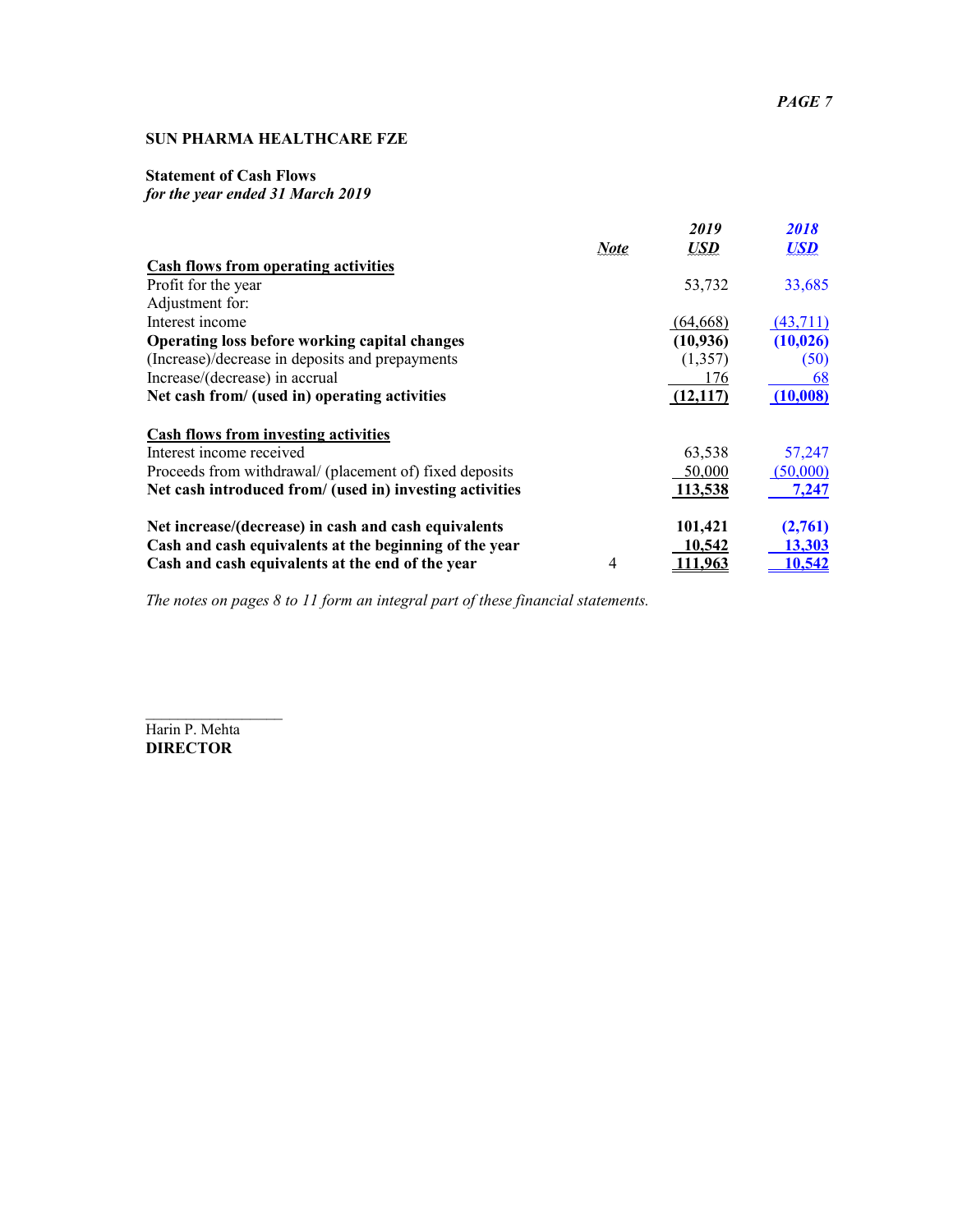# **Statement of Cash Flows**

# *for the year ended 31 March 2019*

|                                                          | <b>Note</b>    | 2019<br><b>USD</b> | <i>2018</i><br><b>USD</b> |
|----------------------------------------------------------|----------------|--------------------|---------------------------|
| <b>Cash flows from operating activities</b>              |                |                    |                           |
| Profit for the year                                      |                | 53,732             | 33,685                    |
| Adjustment for:                                          |                |                    |                           |
| Interest income                                          |                | (64,668)           | (43,711)                  |
| <b>Operating loss before working capital changes</b>     |                | (10, 936)          | (10, 026)                 |
| (Increase)/decrease in deposits and prepayments          |                | (1,357)            | (50)                      |
| Increase/(decrease) in accrual                           |                | 176                | 68                        |
| Net cash from/ (used in) operating activities            |                | (12,117)           | (10,008)                  |
| <b>Cash flows from investing activities</b>              |                |                    |                           |
| Interest income received                                 |                | 63,538             | 57,247                    |
| Proceeds from withdrawal/ (placement of) fixed deposits  |                | 50,000             | (50,000)                  |
| Net cash introduced from/ (used in) investing activities |                | 113,538            | 7,247                     |
| Net increase/(decrease) in cash and cash equivalents     |                | 101,421            | (2,761)                   |
| Cash and cash equivalents at the beginning of the year   |                | 10,542             | 13,303                    |
| Cash and cash equivalents at the end of the year         | $\overline{4}$ | 111,963            | <u>10,542</u>             |

*The notes on pages 8 to 11 form an integral part of these financial statements.* 

Harin P. Mehta **DIRECTOR** 

 $\frac{1}{2}$  ,  $\frac{1}{2}$  ,  $\frac{1}{2}$  ,  $\frac{1}{2}$  ,  $\frac{1}{2}$  ,  $\frac{1}{2}$  ,  $\frac{1}{2}$  ,  $\frac{1}{2}$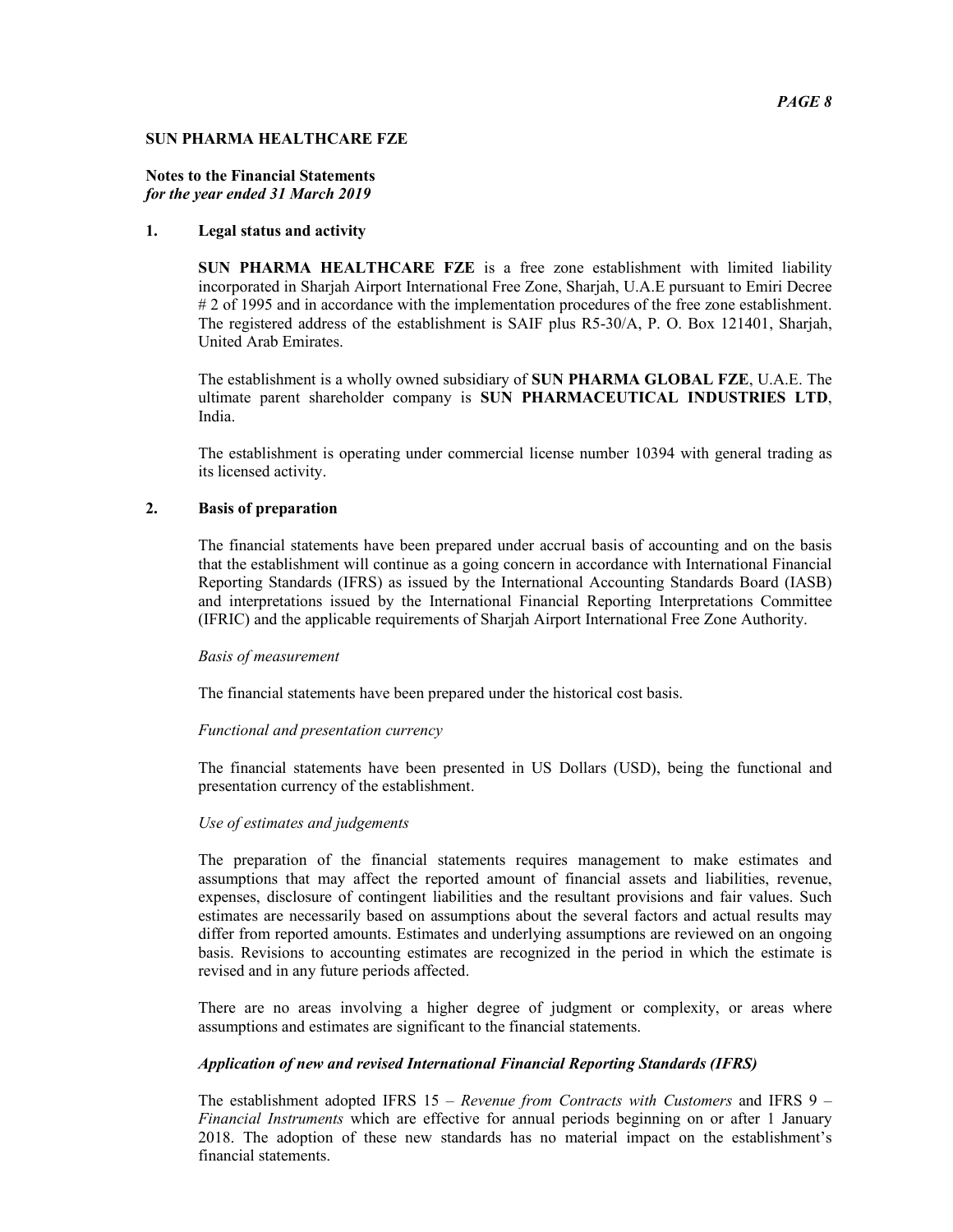### *PAGE 8*

#### **SUN PHARMA HEALTHCARE FZE**

#### **Notes to the Financial Statements**  *for the year ended 31 March 2019*

### **1. Legal status and activity**

**SUN PHARMA HEALTHCARE FZE** is a free zone establishment with limited liability incorporated in Sharjah Airport International Free Zone, Sharjah, U.A.E pursuant to Emiri Decree # 2 of 1995 and in accordance with the implementation procedures of the free zone establishment. The registered address of the establishment is SAIF plus R5-30/A, P. O. Box 121401, Sharjah, United Arab Emirates.

The establishment is a wholly owned subsidiary of **SUN PHARMA GLOBAL FZE**, U.A.E. The ultimate parent shareholder company is **SUN PHARMACEUTICAL INDUSTRIES LTD**, India.

The establishment is operating under commercial license number 10394 with general trading as its licensed activity.

#### **2. Basis of preparation**

The financial statements have been prepared under accrual basis of accounting and on the basis that the establishment will continue as a going concern in accordance with International Financial Reporting Standards (IFRS) as issued by the International Accounting Standards Board (IASB) and interpretations issued by the International Financial Reporting Interpretations Committee (IFRIC) and the applicable requirements of Sharjah Airport International Free Zone Authority.

#### *Basis of measurement*

The financial statements have been prepared under the historical cost basis.

#### *Functional and presentation currency*

The financial statements have been presented in US Dollars (USD), being the functional and presentation currency of the establishment.

### *Use of estimates and judgements*

The preparation of the financial statements requires management to make estimates and assumptions that may affect the reported amount of financial assets and liabilities, revenue, expenses, disclosure of contingent liabilities and the resultant provisions and fair values. Such estimates are necessarily based on assumptions about the several factors and actual results may differ from reported amounts. Estimates and underlying assumptions are reviewed on an ongoing basis. Revisions to accounting estimates are recognized in the period in which the estimate is revised and in any future periods affected.

There are no areas involving a higher degree of judgment or complexity, or areas where assumptions and estimates are significant to the financial statements.

#### *Application of new and revised International Financial Reporting Standards (IFRS)*

The establishment adopted IFRS 15 – *Revenue from Contracts with Customers* and IFRS 9 – *Financial Instruments* which are effective for annual periods beginning on or after 1 January 2018. The adoption of these new standards has no material impact on the establishment's financial statements.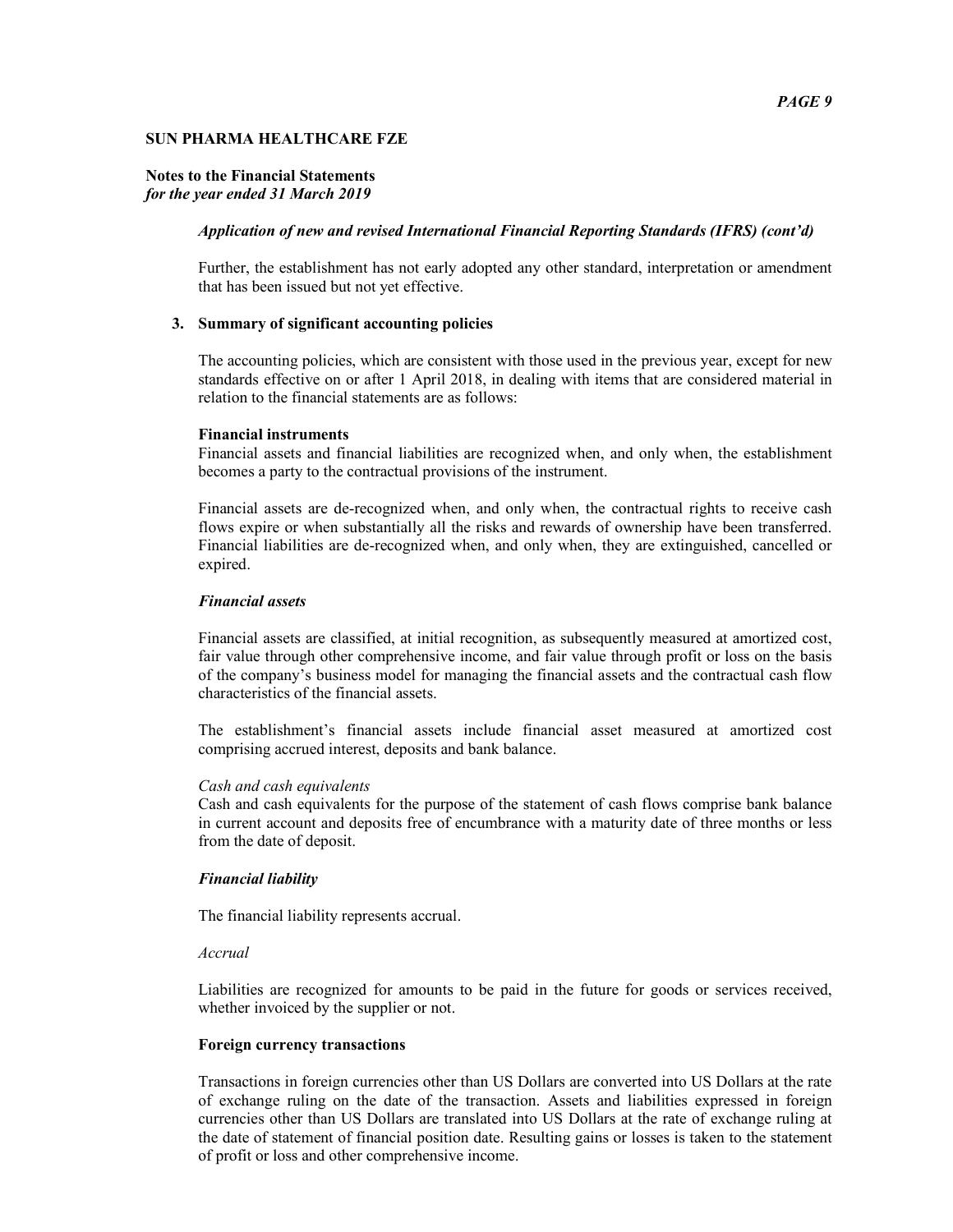#### **Notes to the Financial Statements**  *for the year ended 31 March 2019*

#### *Application of new and revised International Financial Reporting Standards (IFRS) (cont'd)*

Further, the establishment has not early adopted any other standard, interpretation or amendment that has been issued but not yet effective.

#### **3. Summary of significant accounting policies**

The accounting policies, which are consistent with those used in the previous year, except for new standards effective on or after 1 April 2018, in dealing with items that are considered material in relation to the financial statements are as follows:

#### **Financial instruments**

Financial assets and financial liabilities are recognized when, and only when, the establishment becomes a party to the contractual provisions of the instrument.

Financial assets are de-recognized when, and only when, the contractual rights to receive cash flows expire or when substantially all the risks and rewards of ownership have been transferred. Financial liabilities are de-recognized when, and only when, they are extinguished, cancelled or expired.

#### *Financial assets*

Financial assets are classified, at initial recognition, as subsequently measured at amortized cost, fair value through other comprehensive income, and fair value through profit or loss on the basis of the company's business model for managing the financial assets and the contractual cash flow characteristics of the financial assets.

The establishment's financial assets include financial asset measured at amortized cost comprising accrued interest, deposits and bank balance.

#### *Cash and cash equivalents*

Cash and cash equivalents for the purpose of the statement of cash flows comprise bank balance in current account and deposits free of encumbrance with a maturity date of three months or less from the date of deposit.

#### *Financial liability*

The financial liability represents accrual.

#### *Accrual*

Liabilities are recognized for amounts to be paid in the future for goods or services received, whether invoiced by the supplier or not.

#### **Foreign currency transactions**

Transactions in foreign currencies other than US Dollars are converted into US Dollars at the rate of exchange ruling on the date of the transaction. Assets and liabilities expressed in foreign currencies other than US Dollars are translated into US Dollars at the rate of exchange ruling at the date of statement of financial position date. Resulting gains or losses is taken to the statement of profit or loss and other comprehensive income.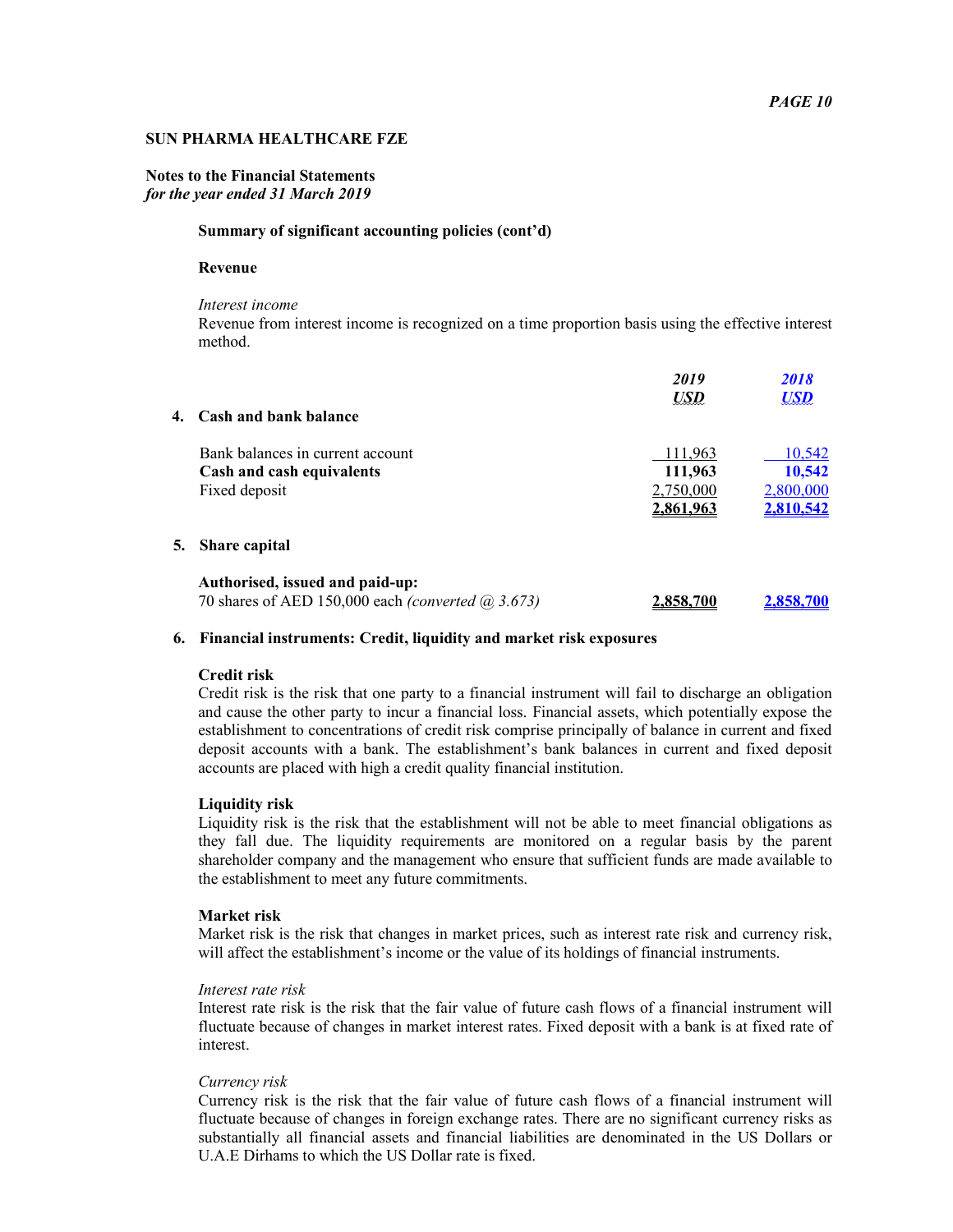### **Notes to the Financial Statements**  *for the year ended 31 March 2019*

#### **Summary of significant accounting policies (cont'd)**

#### **Revenue**

*Interest income* 

Revenue from interest income is recognized on a time proportion basis using the effective interest method.

|    |                                                                         | 2019       | 2018       |
|----|-------------------------------------------------------------------------|------------|------------|
|    |                                                                         | <b>USD</b> | <b>USD</b> |
| 4. | <b>Cash and bank balance</b>                                            |            |            |
|    | Bank balances in current account                                        | 111,963    | 10,542     |
|    | Cash and cash equivalents                                               | 111,963    | 10,542     |
|    | Fixed deposit                                                           | 2,750,000  | 2,800,000  |
|    |                                                                         | 2.861.963  | 2.810.542  |
| 5. | <b>Share capital</b>                                                    |            |            |
|    | Authorised, issued and paid-up:                                         |            |            |
|    | 70 shares of AED 150,000 each <i>(converted <math>(a)</math></i> 3.673) | 2.858.700  | 2,858,700  |

#### **6. Financial instruments: Credit, liquidity and market risk exposures**

#### **Credit risk**

Credit risk is the risk that one party to a financial instrument will fail to discharge an obligation and cause the other party to incur a financial loss. Financial assets, which potentially expose the establishment to concentrations of credit risk comprise principally of balance in current and fixed deposit accounts with a bank. The establishment's bank balances in current and fixed deposit accounts are placed with high a credit quality financial institution.

## **Liquidity risk**

Liquidity risk is the risk that the establishment will not be able to meet financial obligations as they fall due. The liquidity requirements are monitored on a regular basis by the parent shareholder company and the management who ensure that sufficient funds are made available to the establishment to meet any future commitments.

#### **Market risk**

Market risk is the risk that changes in market prices, such as interest rate risk and currency risk, will affect the establishment's income or the value of its holdings of financial instruments.

#### *Interest rate risk*

Interest rate risk is the risk that the fair value of future cash flows of a financial instrument will fluctuate because of changes in market interest rates. Fixed deposit with a bank is at fixed rate of interest.

#### *Currency risk*

Currency risk is the risk that the fair value of future cash flows of a financial instrument will fluctuate because of changes in foreign exchange rates. There are no significant currency risks as substantially all financial assets and financial liabilities are denominated in the US Dollars or U.A.E Dirhams to which the US Dollar rate is fixed.